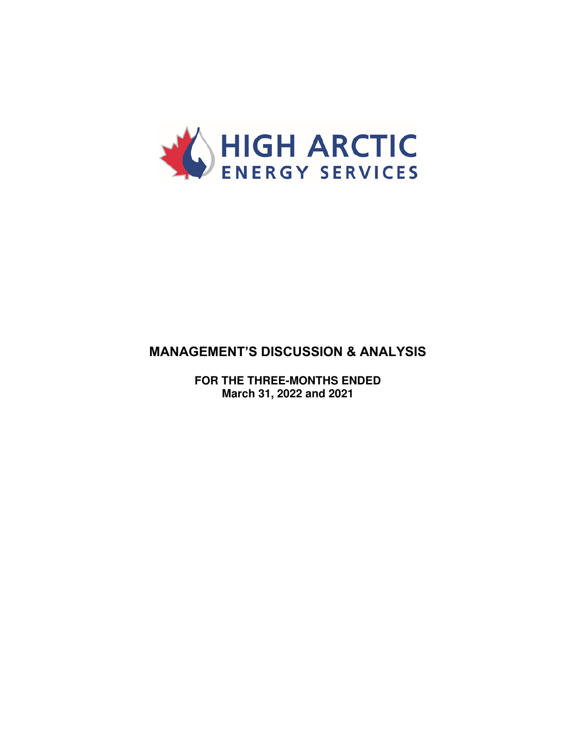

# **MANAGEMENT'S DISCUSSION & ANALYSIS**

**FOR THE THREE-MONTHS ENDED March 31, 2022 and 2021**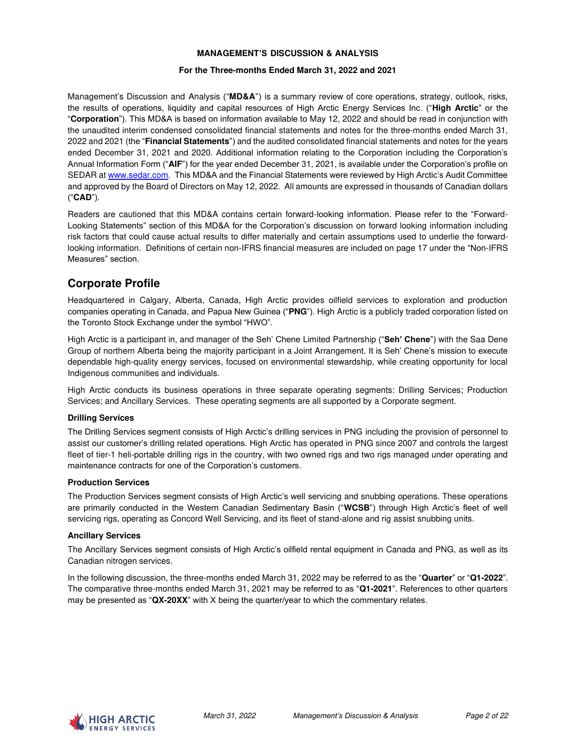### **MANAGEMENT'S DISCUSSION & ANALYSIS**

#### **For the Three-months Ended March 31, 2022 and 2021**

Management's Discussion and Analysis ("**MD&A**") is a summary review of core operations, strategy, outlook, risks, the results of operations, liquidity and capital resources of High Arctic Energy Services Inc. ("**High Arctic**" or the "**Corporation**"). This MD&A is based on information available to May 12, 2022 and should be read in conjunction with the unaudited interim condensed consolidated financial statements and notes for the three-months ended March 31, 2022 and 2021 (the "**Financial Statements**") and the audited consolidated financial statements and notes for the years ended December 31, 2021 and 2020. Additional information relating to the Corporation including the Corporation's Annual Information Form ("**AIF**") for the year ended December 31, 2021, is available under the Corporation's profile on SEDAR at [www.sedar.com.](http://www.sedar.com/) This MD&A and the Financial Statements were reviewed by High Arctic's Audit Committee and approved by the Board of Directors on May 12, 2022. All amounts are expressed in thousands of Canadian dollars ("**CAD**").

Readers are cautioned that this MD&A contains certain forward-looking information. Please refer to the "Forward-Looking Statements" section of this MD&A for the Corporation's discussion on forward looking information including risk factors that could cause actual results to differ materially and certain assumptions used to underlie the forwardlooking information. Definitions of certain non-IFRS financial measures are included on page 17 under the "Non-IFRS Measures" section.

# **Corporate Profile**

Headquartered in Calgary, Alberta, Canada, High Arctic provides oilfield services to exploration and production companies operating in Canada, and Papua New Guinea ("**PNG**"). High Arctic is a publicly traded corporation listed on the Toronto Stock Exchange under the symbol "HWO".

High Arctic is a participant in, and manager of the Seh' Chene Limited Partnership ("**Seh' Chene**") with the Saa Dene Group of northern Alberta being the majority participant in a Joint Arrangement. It is Seh' Chene's mission to execute dependable high-quality energy services, focused on environmental stewardship, while creating opportunity for local Indigenous communities and individuals.

High Arctic conducts its business operations in three separate operating segments: Drilling Services; Production Services; and Ancillary Services. These operating segments are all supported by a Corporate segment.

### **Drilling Services**

The Drilling Services segment consists of High Arctic's drilling services in PNG including the provision of personnel to assist our customer's drilling related operations. High Arctic has operated in PNG since 2007 and controls the largest fleet of tier-1 heli-portable drilling rigs in the country, with two owned rigs and two rigs managed under operating and maintenance contracts for one of the Corporation's customers.

### **Production Services**

The Production Services segment consists of High Arctic's well servicing and snubbing operations. These operations are primarily conducted in the Western Canadian Sedimentary Basin ("**WCSB**") through High Arctic's fleet of well servicing rigs, operating as Concord Well Servicing, and its fleet of stand-alone and rig assist snubbing units.

#### **Ancillary Services**

The Ancillary Services segment consists of High Arctic's oilfield rental equipment in Canada and PNG, as well as its Canadian nitrogen services.

In the following discussion, the three-months ended March 31, 2022 may be referred to as the "**Quarter**" or "**Q1-2022**". The comparative three-months ended March 31, 2021 may be referred to as "**Q1-2021**". References to other quarters may be presented as "**QX-20XX**" with X being the quarter/year to which the commentary relates.

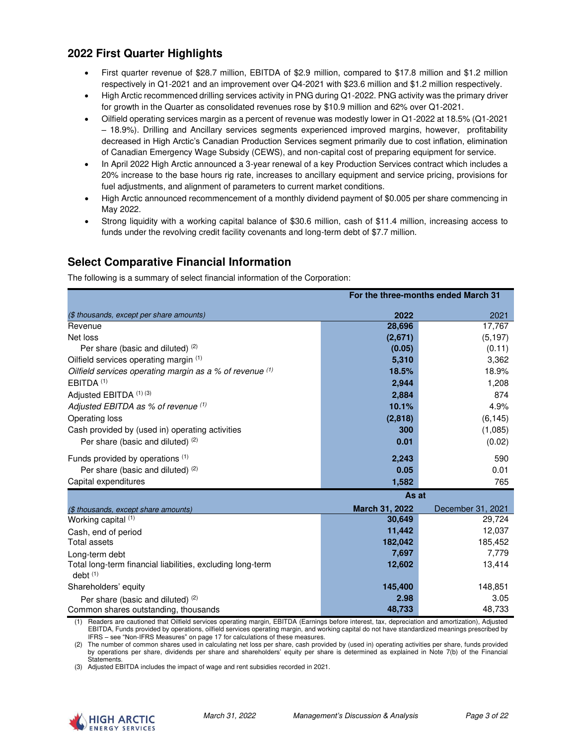# **2022 First Quarter Highlights**

- First quarter revenue of \$28.7 million, EBITDA of \$2.9 million, compared to \$17.8 million and \$1.2 million respectively in Q1-2021 and an improvement over Q4-2021 with \$23.6 million and \$1.2 million respectively.
- High Arctic recommenced drilling services activity in PNG during Q1-2022. PNG activity was the primary driver for growth in the Quarter as consolidated revenues rose by \$10.9 million and 62% over Q1-2021.
- Oilfield operating services margin as a percent of revenue was modestly lower in Q1-2022 at 18.5% (Q1-2021 – 18.9%). Drilling and Ancillary services segments experienced improved margins, however, profitability decreased in High Arctic's Canadian Production Services segment primarily due to cost inflation, elimination of Canadian Emergency Wage Subsidy (CEWS), and non-capital cost of preparing equipment for service.
- In April 2022 High Arctic announced a 3-year renewal of a key Production Services contract which includes a 20% increase to the base hours rig rate, increases to ancillary equipment and service pricing, provisions for fuel adjustments, and alignment of parameters to current market conditions.
- High Arctic announced recommencement of a monthly dividend payment of \$0.005 per share commencing in May 2022.
- Strong liquidity with a working capital balance of \$30.6 million, cash of \$11.4 million, increasing access to funds under the revolving credit facility covenants and long-term debt of \$7.7 million.

# **Select Comparative Financial Information**

The following is a summary of select financial information of the Corporation:

|                                                                                                  | For the three-months ended March 31 |                   |
|--------------------------------------------------------------------------------------------------|-------------------------------------|-------------------|
| (\$ thousands, except per share amounts)                                                         | 2022                                | 2021              |
| Revenue                                                                                          | 28,696                              | 17,767            |
| Net loss                                                                                         | (2,671)                             | (5, 197)          |
| Per share (basic and diluted) (2)                                                                | (0.05)                              | (0.11)            |
| Oilfield services operating margin (1)                                                           | 5,310                               | 3,362             |
| Oilfield services operating margin as a % of revenue $(1)$                                       | 18.5%                               | 18.9%             |
| EBITDA <sup>(1)</sup>                                                                            | 2,944                               | 1,208             |
| Adjusted EBITDA (1) (3)                                                                          | 2,884                               | 874               |
| Adjusted EBITDA as % of revenue (1)                                                              | 10.1%                               | 4.9%              |
| Operating loss                                                                                   | (2,818)                             | (6, 145)          |
| Cash provided by (used in) operating activities                                                  | 300                                 | (1,085)           |
| Per share (basic and diluted) (2)                                                                | 0.01                                | (0.02)            |
| Funds provided by operations (1)                                                                 | 2,243                               | 590               |
| Per share (basic and diluted) (2)                                                                | 0.05                                | 0.01              |
| Capital expenditures                                                                             | 1,582                               | 765               |
|                                                                                                  | As at                               |                   |
| (\$ thousands, except share amounts)                                                             | March 31, 2022                      | December 31, 2021 |
| Working capital (1)                                                                              | 30,649                              | 29,724            |
| Cash, end of period                                                                              | 11,442                              | 12,037            |
| <b>Total assets</b>                                                                              | 182,042                             | 185,452           |
| Long-term debt                                                                                   | 7,697                               | 7,779             |
| Total long-term financial liabilities, excluding long-term<br>$debt$ <sup><math>(1)</math></sup> | 12,602                              | 13,414            |
| Shareholders' equity                                                                             | 145,400                             | 148,851           |
| Per share (basic and diluted) (2)                                                                | 2.98                                | 3.05              |
| Common shares outstanding, thousands                                                             | 48,733                              | 48,733            |

(1) Readers are cautioned that Oilfield services operating margin, EBITDA (Earnings before interest, tax, depreciation and amortization), Adjusted EBITDA, Funds provided by operations, oilfield services operating margin, and working capital do not have standardized meanings prescribed by IFRS – see "Non-IFRS Measures" on page 17 for calculations of these measures.

(2) The number of common shares used in calculating net loss per share, cash provided by (used in) operating activities per share, funds provided by operations per share, dividends per share and shareholders' equity per share is determined as explained in Note 7(b) of the Financial **Statements** 

(3) Adjusted EBITDA includes the impact of wage and rent subsidies recorded in 2021.

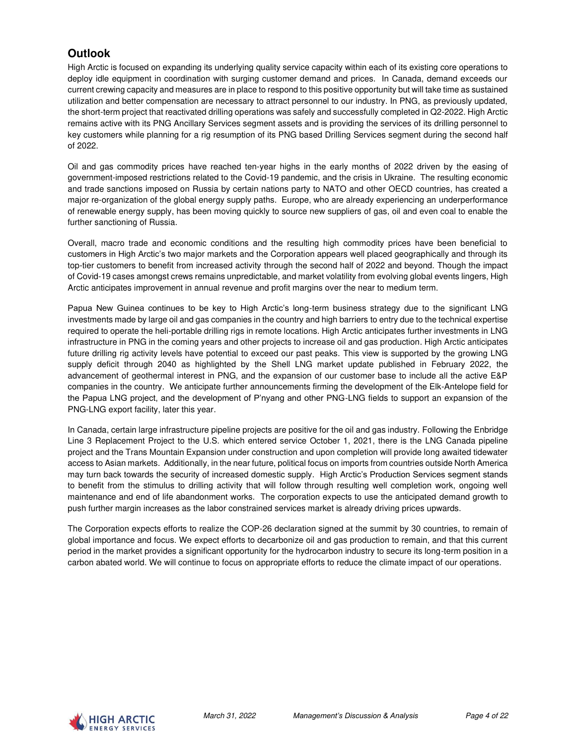# **Outlook**

High Arctic is focused on expanding its underlying quality service capacity within each of its existing core operations to deploy idle equipment in coordination with surging customer demand and prices. In Canada, demand exceeds our current crewing capacity and measures are in place to respond to this positive opportunity but will take time as sustained utilization and better compensation are necessary to attract personnel to our industry. In PNG, as previously updated, the short-term project that reactivated drilling operations was safely and successfully completed in Q2-2022. High Arctic remains active with its PNG Ancillary Services segment assets and is providing the services of its drilling personnel to key customers while planning for a rig resumption of its PNG based Drilling Services segment during the second half of 2022.

Oil and gas commodity prices have reached ten-year highs in the early months of 2022 driven by the easing of government-imposed restrictions related to the Covid-19 pandemic, and the crisis in Ukraine. The resulting economic and trade sanctions imposed on Russia by certain nations party to NATO and other OECD countries, has created a major re-organization of the global energy supply paths. Europe, who are already experiencing an underperformance of renewable energy supply, has been moving quickly to source new suppliers of gas, oil and even coal to enable the further sanctioning of Russia.

Overall, macro trade and economic conditions and the resulting high commodity prices have been beneficial to customers in High Arctic's two major markets and the Corporation appears well placed geographically and through its top-tier customers to benefit from increased activity through the second half of 2022 and beyond. Though the impact of Covid-19 cases amongst crews remains unpredictable, and market volatility from evolving global events lingers, High Arctic anticipates improvement in annual revenue and profit margins over the near to medium term.

Papua New Guinea continues to be key to High Arctic's long-term business strategy due to the significant LNG investments made by large oil and gas companies in the country and high barriers to entry due to the technical expertise required to operate the heli-portable drilling rigs in remote locations. High Arctic anticipates further investments in LNG infrastructure in PNG in the coming years and other projects to increase oil and gas production. High Arctic anticipates future drilling rig activity levels have potential to exceed our past peaks. This view is supported by the growing LNG supply deficit through 2040 as highlighted by the Shell LNG market update published in February 2022, the advancement of geothermal interest in PNG, and the expansion of our customer base to include all the active E&P companies in the country. We anticipate further announcements firming the development of the Elk-Antelope field for the Papua LNG project, and the development of P'nyang and other PNG-LNG fields to support an expansion of the PNG-LNG export facility, later this year.

In Canada, certain large infrastructure pipeline projects are positive for the oil and gas industry. Following the Enbridge Line 3 Replacement Project to the U.S. which entered service October 1, 2021, there is the LNG Canada pipeline project and the Trans Mountain Expansion under construction and upon completion will provide long awaited tidewater access to Asian markets. Additionally, in the near future, political focus on imports from countries outside North America may turn back towards the security of increased domestic supply. High Arctic's Production Services segment stands to benefit from the stimulus to drilling activity that will follow through resulting well completion work, ongoing well maintenance and end of life abandonment works. The corporation expects to use the anticipated demand growth to push further margin increases as the labor constrained services market is already driving prices upwards.

The Corporation expects efforts to realize the COP-26 declaration signed at the summit by 30 countries, to remain of global importance and focus. We expect efforts to decarbonize oil and gas production to remain, and that this current period in the market provides a significant opportunity for the hydrocarbon industry to secure its long-term position in a carbon abated world. We will continue to focus on appropriate efforts to reduce the climate impact of our operations.

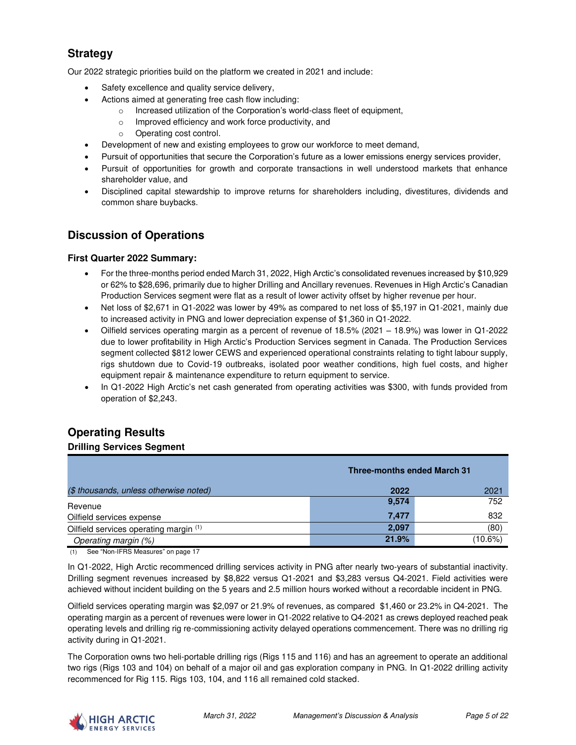# **Strategy**

Our 2022 strategic priorities build on the platform we created in 2021 and include:

- Safety excellence and quality service delivery,
- Actions aimed at generating free cash flow including:
	- o Increased utilization of the Corporation's world-class fleet of equipment,
	- o Improved efficiency and work force productivity, and
	- o Operating cost control.
- Development of new and existing employees to grow our workforce to meet demand,
- Pursuit of opportunities that secure the Corporation's future as a lower emissions energy services provider,
- Pursuit of opportunities for growth and corporate transactions in well understood markets that enhance shareholder value, and
- Disciplined capital stewardship to improve returns for shareholders including, divestitures, dividends and common share buybacks.

# **Discussion of Operations**

### **First Quarter 2022 Summary:**

- For the three-months period ended March 31, 2022, High Arctic's consolidated revenues increased by \$10,929 or 62% to \$28,696, primarily due to higher Drilling and Ancillary revenues. Revenues in High Arctic's Canadian Production Services segment were flat as a result of lower activity offset by higher revenue per hour.
- Net loss of \$2,671 in Q1-2022 was lower by 49% as compared to net loss of \$5,197 in Q1-2021, mainly due to increased activity in PNG and lower depreciation expense of \$1,360 in Q1-2022.
- Oilfield services operating margin as a percent of revenue of 18.5% (2021 18.9%) was lower in Q1-2022 due to lower profitability in High Arctic's Production Services segment in Canada. The Production Services segment collected \$812 lower CEWS and experienced operational constraints relating to tight labour supply, rigs shutdown due to Covid-19 outbreaks, isolated poor weather conditions, high fuel costs, and higher equipment repair & maintenance expenditure to return equipment to service.
- In Q1-2022 High Arctic's net cash generated from operating activities was \$300, with funds provided from operation of \$2,243.

# **Operating Results**

### **Drilling Services Segment**

|                                        | <b>Three-months ended March 31</b> |         |
|----------------------------------------|------------------------------------|---------|
| (\$ thousands, unless otherwise noted) | 2022                               | 2021    |
| Revenue                                | 9,574                              | 752     |
| Oilfield services expense              | 7.477                              | 832     |
| Oilfield services operating margin (1) | 2,097                              | (80)    |
| Operating margin (%)                   | 21.9%                              | (10.6%) |

(1) See "Non-IFRS Measures" on page 17

In Q1-2022, High Arctic recommenced drilling services activity in PNG after nearly two-years of substantial inactivity. Drilling segment revenues increased by \$8,822 versus Q1-2021 and \$3,283 versus Q4-2021. Field activities were achieved without incident building on the 5 years and 2.5 million hours worked without a recordable incident in PNG.

Oilfield services operating margin was \$2,097 or 21.9% of revenues, as compared \$1,460 or 23.2% in Q4-2021. The operating margin as a percent of revenues were lower in Q1-2022 relative to Q4-2021 as crews deployed reached peak operating levels and drilling rig re-commissioning activity delayed operations commencement. There was no drilling rig activity during in Q1-2021.

The Corporation owns two heli-portable drilling rigs (Rigs 115 and 116) and has an agreement to operate an additional two rigs (Rigs 103 and 104) on behalf of a major oil and gas exploration company in PNG. In Q1-2022 drilling activity recommenced for Rig 115. Rigs 103, 104, and 116 all remained cold stacked.

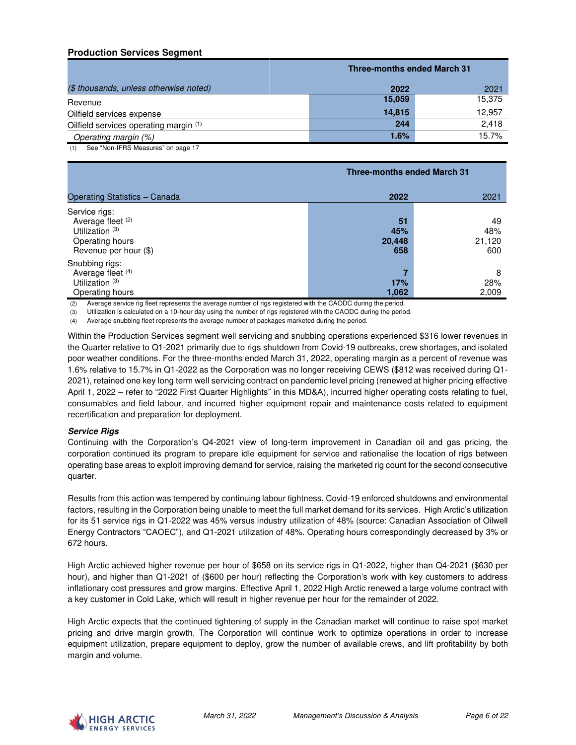## **Production Services Segment**

|                                        | <b>Three-months ended March 31</b> |        |
|----------------------------------------|------------------------------------|--------|
| (\$ thousands, unless otherwise noted) | 2022                               | 2021   |
| Revenue                                | 15,059                             | 15,375 |
| Oilfield services expense              | 14.815                             | 12,957 |
| Oilfield services operating margin (1) | 244                                | 2.418  |
| Operating margin (%)                   | 1.6%                               | 15.7%  |

(1) See "Non-IFRS Measures" on page 17

|                                                                                                              |                            | <b>Three-months ended March 31</b> |  |
|--------------------------------------------------------------------------------------------------------------|----------------------------|------------------------------------|--|
| Operating Statistics - Canada                                                                                | 2022                       | 2021                               |  |
| Service rigs:<br>Average fleet (2)<br>Utilization <sup>(3)</sup><br>Operating hours<br>Revenue per hour (\$) | 51<br>45%<br>20,448<br>658 | 49<br>48%<br>21,120<br>600         |  |
| Snubbing rigs:<br>Average fleet (4)<br>Utilization <sup>(3)</sup><br>Operating hours                         | 17%<br>1,062               | 8<br>28%<br>2,009                  |  |

(2) Average service rig fleet represents the average number of rigs registered with the CAODC during the period.

(3) Utilization is calculated on a 10-hour day using the number of rigs registered with the CAODC during the period.

(4) Average snubbing fleet represents the average number of packages marketed during the period.

Within the Production Services segment well servicing and snubbing operations experienced \$316 lower revenues in the Quarter relative to Q1-2021 primarily due to rigs shutdown from Covid-19 outbreaks, crew shortages, and isolated poor weather conditions. For the three-months ended March 31, 2022, operating margin as a percent of revenue was 1.6% relative to 15.7% in Q1-2022 as the Corporation was no longer receiving CEWS (\$812 was received during Q1- 2021), retained one key long term well servicing contract on pandemic level pricing (renewed at higher pricing effective April 1, 2022 – refer to "2022 First Quarter Highlights" in this MD&A), incurred higher operating costs relating to fuel, consumables and field labour, and incurred higher equipment repair and maintenance costs related to equipment recertification and preparation for deployment.

### **Service Rigs**

Continuing with the Corporation's Q4-2021 view of long-term improvement in Canadian oil and gas pricing, the corporation continued its program to prepare idle equipment for service and rationalise the location of rigs between operating base areas to exploit improving demand for service, raising the marketed rig count for the second consecutive quarter.

Results from this action was tempered by continuing labour tightness, Covid-19 enforced shutdowns and environmental factors, resulting in the Corporation being unable to meet the full market demand for its services. High Arctic's utilization for its 51 service rigs in Q1-2022 was 45% versus industry utilization of 48% (source: Canadian Association of Oilwell Energy Contractors "CAOEC"), and Q1-2021 utilization of 48%. Operating hours correspondingly decreased by 3% or 672 hours.

High Arctic achieved higher revenue per hour of \$658 on its service rigs in Q1-2022, higher than Q4-2021 (\$630 per hour), and higher than Q1-2021 of (\$600 per hour) reflecting the Corporation's work with key customers to address inflationary cost pressures and grow margins. Effective April 1, 2022 High Arctic renewed a large volume contract with a key customer in Cold Lake, which will result in higher revenue per hour for the remainder of 2022.

High Arctic expects that the continued tightening of supply in the Canadian market will continue to raise spot market pricing and drive margin growth. The Corporation will continue work to optimize operations in order to increase equipment utilization, prepare equipment to deploy, grow the number of available crews, and lift profitability by both margin and volume.

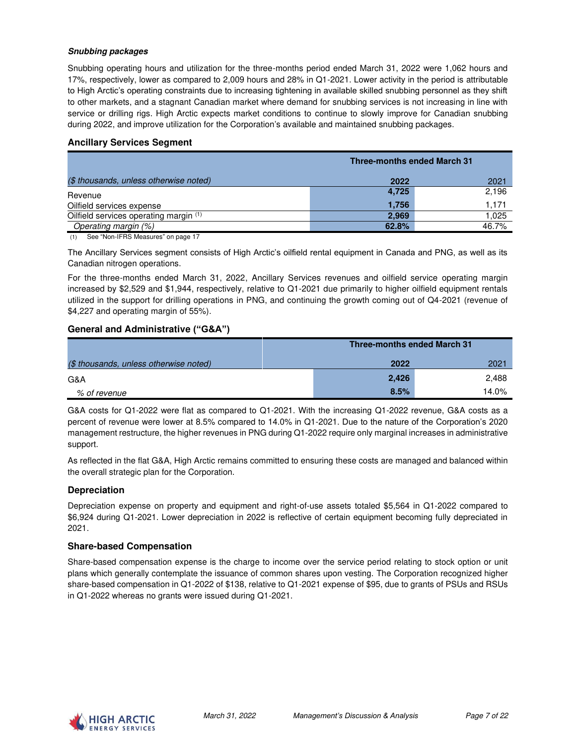### **Snubbing packages**

Snubbing operating hours and utilization for the three-months period ended March 31, 2022 were 1,062 hours and 17%, respectively, lower as compared to 2,009 hours and 28% in Q1-2021. Lower activity in the period is attributable to High Arctic's operating constraints due to increasing tightening in available skilled snubbing personnel as they shift to other markets, and a stagnant Canadian market where demand for snubbing services is not increasing in line with service or drilling rigs. High Arctic expects market conditions to continue to slowly improve for Canadian snubbing during 2022, and improve utilization for the Corporation's available and maintained snubbing packages.

### **Ancillary Services Segment**

|                                        | <b>Three-months ended March 31</b> |       |
|----------------------------------------|------------------------------------|-------|
| (\$ thousands, unless otherwise noted) | 2022                               | 2021  |
| Revenue                                | 4,725                              | 2,196 |
| Oilfield services expense              | 1.756                              | 1.171 |
| Oilfield services operating margin (1) | 2.969                              | 1,025 |
| Operating margin (%)                   | 62.8%                              | 46.7% |

(1) See "Non-IFRS Measures" on page 17

The Ancillary Services segment consists of High Arctic's oilfield rental equipment in Canada and PNG, as well as its Canadian nitrogen operations.

For the three-months ended March 31, 2022, Ancillary Services revenues and oilfield service operating margin increased by \$2,529 and \$1,944, respectively, relative to Q1-2021 due primarily to higher oilfield equipment rentals utilized in the support for drilling operations in PNG, and continuing the growth coming out of Q4-2021 (revenue of \$4,227 and operating margin of 55%).

### **General and Administrative ("G&A")**

|                                        | <b>Three-months ended March 31</b> |       |
|----------------------------------------|------------------------------------|-------|
| (\$ thousands, unless otherwise noted) | 2022                               | 2021  |
| G&A                                    | 2,426                              | 2.488 |
| % of revenue                           | 8.5%                               | 14.0% |

G&A costs for Q1-2022 were flat as compared to Q1-2021. With the increasing Q1-2022 revenue, G&A costs as a percent of revenue were lower at 8.5% compared to 14.0% in Q1-2021. Due to the nature of the Corporation's 2020 management restructure, the higher revenues in PNG during Q1-2022 require only marginal increases in administrative support.

As reflected in the flat G&A, High Arctic remains committed to ensuring these costs are managed and balanced within the overall strategic plan for the Corporation.

### **Depreciation**

Depreciation expense on property and equipment and right-of-use assets totaled \$5,564 in Q1-2022 compared to \$6,924 during Q1-2021. Lower depreciation in 2022 is reflective of certain equipment becoming fully depreciated in 2021.

### **Share-based Compensation**

Share-based compensation expense is the charge to income over the service period relating to stock option or unit plans which generally contemplate the issuance of common shares upon vesting. The Corporation recognized higher share-based compensation in Q1-2022 of \$138, relative to Q1-2021 expense of \$95, due to grants of PSUs and RSUs in Q1-2022 whereas no grants were issued during Q1-2021.

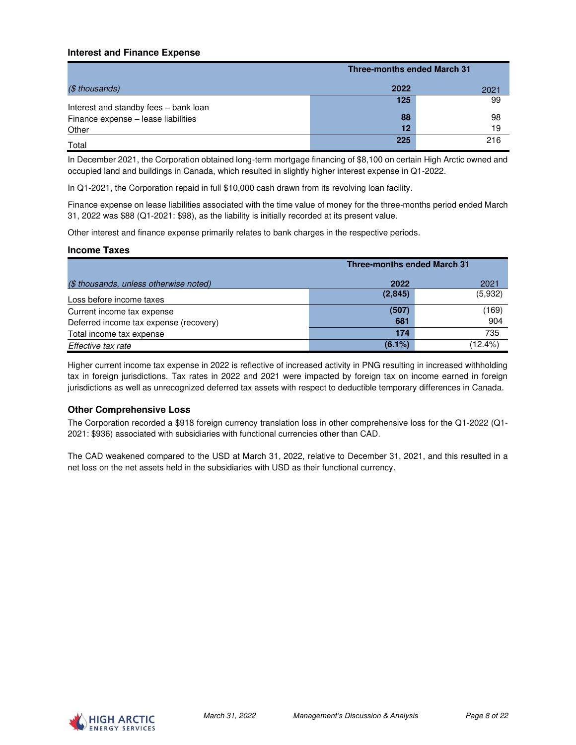### **Interest and Finance Expense**

|                                                                              | <b>Three-months ended March 31</b> |      |
|------------------------------------------------------------------------------|------------------------------------|------|
| $(S$ thousands)                                                              | 2022                               | 2021 |
|                                                                              | 125                                | 99   |
| Interest and standby fees - bank loan<br>Finance expense - lease liabilities | 88                                 | 98   |
| Other                                                                        | 12                                 | 19   |
| Total                                                                        | 225                                | 216  |

In December 2021, the Corporation obtained long-term mortgage financing of \$8,100 on certain High Arctic owned and occupied land and buildings in Canada, which resulted in slightly higher interest expense in Q1-2022.

In Q1-2021, the Corporation repaid in full \$10,000 cash drawn from its revolving loan facility.

Finance expense on lease liabilities associated with the time value of money for the three-months period ended March 31, 2022 was \$88 (Q1-2021: \$98), as the liability is initially recorded at its present value.

Other interest and finance expense primarily relates to bank charges in the respective periods.

### **Income Taxes**

|                                        | <b>Three-months ended March 31</b> |         |
|----------------------------------------|------------------------------------|---------|
| (\$ thousands, unless otherwise noted) | 2022                               | 2021    |
| Loss before income taxes               | (2,845)                            | (5,932) |
| Current income tax expense             | (507)                              | (169)   |
| Deferred income tax expense (recovery) | 681                                | 904     |
| Total income tax expense               | 174                                | 735     |
| Effective tax rate                     | $(6.1\%)$                          | (12.4%) |

Higher current income tax expense in 2022 is reflective of increased activity in PNG resulting in increased withholding tax in foreign jurisdictions. Tax rates in 2022 and 2021 were impacted by foreign tax on income earned in foreign jurisdictions as well as unrecognized deferred tax assets with respect to deductible temporary differences in Canada.

### **Other Comprehensive Loss**

The Corporation recorded a \$918 foreign currency translation loss in other comprehensive loss for the Q1-2022 (Q1- 2021: \$936) associated with subsidiaries with functional currencies other than CAD.

The CAD weakened compared to the USD at March 31, 2022, relative to December 31, 2021, and this resulted in a net loss on the net assets held in the subsidiaries with USD as their functional currency.

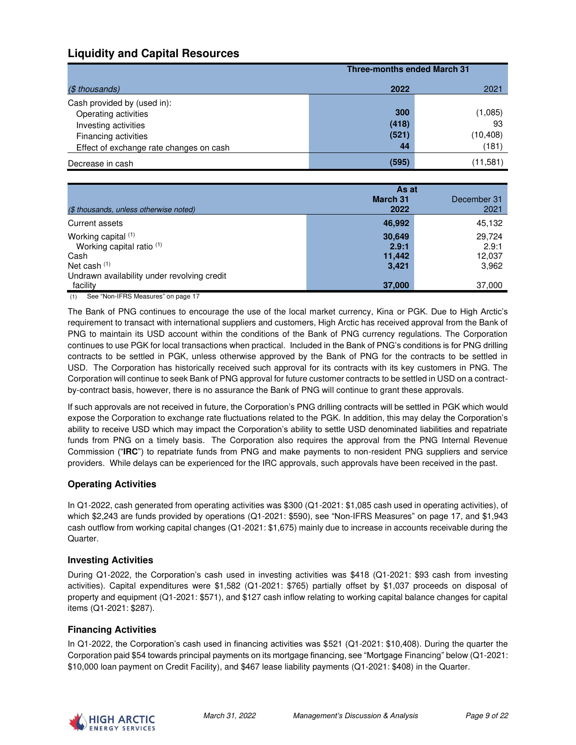# **Liquidity and Capital Resources**

|                                         |       | <b>Three-months ended March 31</b> |  |
|-----------------------------------------|-------|------------------------------------|--|
| (\$ thousands)                          | 2022  | 2021                               |  |
| Cash provided by (used in):             |       |                                    |  |
| Operating activities                    | 300   | (1,085)                            |  |
| Investing activities                    | (418) | 93                                 |  |
| Financing activities                    | (521) | (10,408)                           |  |
| Effect of exchange rate changes on cash | 44    | (181)                              |  |
| Decrease in cash                        | (595) | (11,581)                           |  |

|                                             |                 | As at       |  |
|---------------------------------------------|-----------------|-------------|--|
|                                             | <b>March 31</b> | December 31 |  |
| (\$ thousands, unless otherwise noted)      | 2022            | 2021        |  |
| Current assets                              | 46,992          | 45,132      |  |
| Working capital (1)                         | 30,649          | 29.724      |  |
| Working capital ratio (1)                   | 2.9:1           | 2.9:1       |  |
| Cash                                        | 11,442          | 12,037      |  |
| Net cash $(1)$                              | 3,421           | 3,962       |  |
| Undrawn availability under revolving credit |                 |             |  |
| facility                                    | 37,000          | 37,000      |  |

(1) See "Non-IFRS Measures" on page 17

The Bank of PNG continues to encourage the use of the local market currency, Kina or PGK. Due to High Arctic's requirement to transact with international suppliers and customers, High Arctic has received approval from the Bank of PNG to maintain its USD account within the conditions of the Bank of PNG currency regulations. The Corporation continues to use PGK for local transactions when practical. Included in the Bank of PNG's conditions is for PNG drilling contracts to be settled in PGK, unless otherwise approved by the Bank of PNG for the contracts to be settled in USD. The Corporation has historically received such approval for its contracts with its key customers in PNG. The Corporation will continue to seek Bank of PNG approval for future customer contracts to be settled in USD on a contractby-contract basis, however, there is no assurance the Bank of PNG will continue to grant these approvals.

If such approvals are not received in future, the Corporation's PNG drilling contracts will be settled in PGK which would expose the Corporation to exchange rate fluctuations related to the PGK. In addition, this may delay the Corporation's ability to receive USD which may impact the Corporation's ability to settle USD denominated liabilities and repatriate funds from PNG on a timely basis. The Corporation also requires the approval from the PNG Internal Revenue Commission ("**IRC**") to repatriate funds from PNG and make payments to non-resident PNG suppliers and service providers. While delays can be experienced for the IRC approvals, such approvals have been received in the past.

## **Operating Activities**

In Q1-2022, cash generated from operating activities was \$300 (Q1-2021: \$1,085 cash used in operating activities), of which \$2,243 are funds provided by operations (Q1-2021: \$590), see "Non-IFRS Measures" on page 17, and \$1,943 cash outflow from working capital changes (Q1-2021: \$1,675) mainly due to increase in accounts receivable during the Quarter.

### **Investing Activities**

During Q1-2022, the Corporation's cash used in investing activities was \$418 (Q1-2021: \$93 cash from investing activities). Capital expenditures were \$1,582 (Q1-2021: \$765) partially offset by \$1,037 proceeds on disposal of property and equipment (Q1-2021: \$571), and \$127 cash inflow relating to working capital balance changes for capital items (Q1-2021: \$287).

### **Financing Activities**

In Q1-2022, the Corporation's cash used in financing activities was \$521 (Q1-2021: \$10,408). During the quarter the Corporation paid \$54 towards principal payments on its mortgage financing, see "Mortgage Financing" below (Q1-2021: \$10,000 loan payment on Credit Facility), and \$467 lease liability payments (Q1-2021: \$408) in the Quarter.

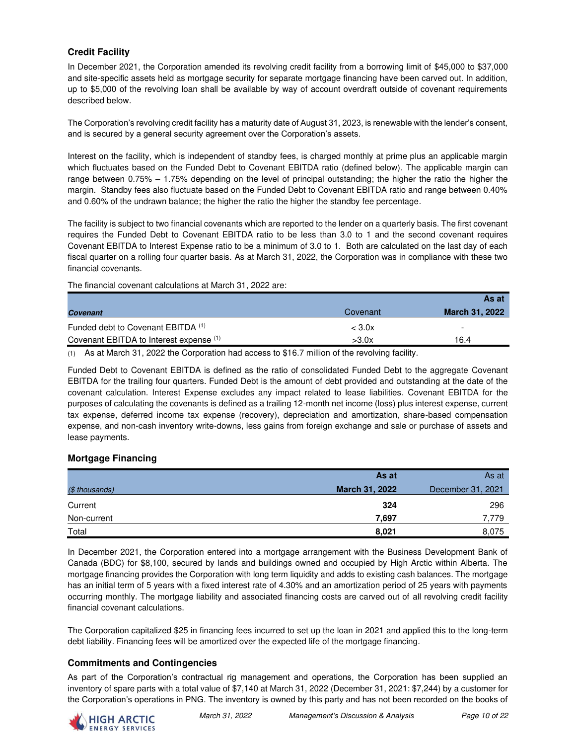## **Credit Facility**

In December 2021, the Corporation amended its revolving credit facility from a borrowing limit of \$45,000 to \$37,000 and site-specific assets held as mortgage security for separate mortgage financing have been carved out. In addition, up to \$5,000 of the revolving loan shall be available by way of account overdraft outside of covenant requirements described below.

The Corporation's revolving credit facility has a maturity date of August 31, 2023, is renewable with the lender's consent, and is secured by a general security agreement over the Corporation's assets.

Interest on the facility, which is independent of standby fees, is charged monthly at prime plus an applicable margin which fluctuates based on the Funded Debt to Covenant EBITDA ratio (defined below). The applicable margin can range between 0.75% – 1.75% depending on the level of principal outstanding; the higher the ratio the higher the margin. Standby fees also fluctuate based on the Funded Debt to Covenant EBITDA ratio and range between 0.40% and 0.60% of the undrawn balance; the higher the ratio the higher the standby fee percentage.

The facility is subject to two financial covenants which are reported to the lender on a quarterly basis. The first covenant requires the Funded Debt to Covenant EBITDA ratio to be less than 3.0 to 1 and the second covenant requires Covenant EBITDA to Interest Expense ratio to be a minimum of 3.0 to 1. Both are calculated on the last day of each fiscal quarter on a rolling four quarter basis. As at March 31, 2022, the Corporation was in compliance with these two financial covenants.

The financial covenant calculations at March 31, 2022 are:

|                                         |                  | As at                 |
|-----------------------------------------|------------------|-----------------------|
| <b>Covenant</b>                         | Covenant         | <b>March 31, 2022</b> |
| Funded debt to Covenant EBITDA (1)      | $<$ 3.0 $\times$ | -                     |
| Covenant EBITDA to Interest expense (1) | >3.0x            | 16.4                  |

(1) As at March 31, 2022 the Corporation had access to \$16.7 million of the revolving facility.

Funded Debt to Covenant EBITDA is defined as the ratio of consolidated Funded Debt to the aggregate Covenant EBITDA for the trailing four quarters. Funded Debt is the amount of debt provided and outstanding at the date of the covenant calculation. Interest Expense excludes any impact related to lease liabilities. Covenant EBITDA for the purposes of calculating the covenants is defined as a trailing 12-month net income (loss) plus interest expense, current tax expense, deferred income tax expense (recovery), depreciation and amortization, share-based compensation expense, and non-cash inventory write-downs, less gains from foreign exchange and sale or purchase of assets and lease payments.

## **Mortgage Financing**

|                | As at          | As at             |
|----------------|----------------|-------------------|
| (\$ thousands) | March 31, 2022 | December 31, 2021 |
| Current        | 324            | 296               |
| Non-current    | 7,697          | 7,779             |
| Total          | 8,021          | 8,075             |

In December 2021, the Corporation entered into a mortgage arrangement with the Business Development Bank of Canada (BDC) for \$8,100, secured by lands and buildings owned and occupied by High Arctic within Alberta. The mortgage financing provides the Corporation with long term liquidity and adds to existing cash balances. The mortgage has an initial term of 5 years with a fixed interest rate of 4.30% and an amortization period of 25 years with payments occurring monthly. The mortgage liability and associated financing costs are carved out of all revolving credit facility financial covenant calculations.

The Corporation capitalized \$25 in financing fees incurred to set up the loan in 2021 and applied this to the long-term debt liability. Financing fees will be amortized over the expected life of the mortgage financing.

## **Commitments and Contingencies**

As part of the Corporation's contractual rig management and operations, the Corporation has been supplied an inventory of spare parts with a total value of \$7,140 at March 31, 2022 (December 31, 2021: \$7,244) by a customer for the Corporation's operations in PNG. The inventory is owned by this party and has not been recorded on the books of

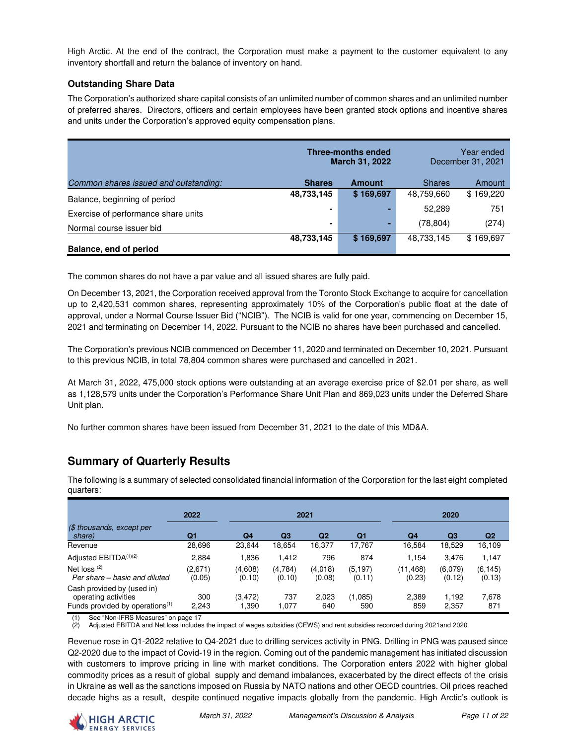High Arctic. At the end of the contract, the Corporation must make a payment to the customer equivalent to any inventory shortfall and return the balance of inventory on hand.

## **Outstanding Share Data**

The Corporation's authorized share capital consists of an unlimited number of common shares and an unlimited number of preferred shares. Directors, officers and certain employees have been granted stock options and incentive shares and units under the Corporation's approved equity compensation plans.

|                                       | <b>Three-months ended</b><br><b>March 31, 2022</b> |               |               | Year ended<br>December 31, 2021 |
|---------------------------------------|----------------------------------------------------|---------------|---------------|---------------------------------|
| Common shares issued and outstanding: | <b>Shares</b>                                      | <b>Amount</b> | <b>Shares</b> | Amount                          |
| Balance, beginning of period          | 48,733,145                                         | \$169,697     | 48,759,660    | \$169,220                       |
| Exercise of performance share units   |                                                    |               | 52,289        | 751                             |
| Normal course issuer bid              | ۰                                                  | ×.            | (78, 804)     | (274)                           |
|                                       | 48,733,145                                         | \$169,697     | 48,733,145    | \$169,697                       |
| Balance, end of period                |                                                    |               |               |                                 |

The common shares do not have a par value and all issued shares are fully paid.

On December 13, 2021, the Corporation received approval from the Toronto Stock Exchange to acquire for cancellation up to 2,420,531 common shares, representing approximately 10% of the Corporation's public float at the date of approval, under a Normal Course Issuer Bid ("NCIB"). The NCIB is valid for one year, commencing on December 15, 2021 and terminating on December 14, 2022. Pursuant to the NCIB no shares have been purchased and cancelled.

The Corporation's previous NCIB commenced on December 11, 2020 and terminated on December 10, 2021. Pursuant to this previous NCIB, in total 78,804 common shares were purchased and cancelled in 2021.

At March 31, 2022, 475,000 stock options were outstanding at an average exercise price of \$2.01 per share, as well as 1,128,579 units under the Corporation's Performance Share Unit Plan and 869,023 units under the Deferred Share Unit plan.

No further common shares have been issued from December 31, 2021 to the date of this MD&A.

# **Summary of Quarterly Results**

|                                                                                                   | 2022              |                   |                   | 2021              |                    |                     | 2020              |                    |
|---------------------------------------------------------------------------------------------------|-------------------|-------------------|-------------------|-------------------|--------------------|---------------------|-------------------|--------------------|
| $$$ thousands, except per<br>share)                                                               | Q1                | Q4                | Q <sub>3</sub>    | Q <sub>2</sub>    | Q <sub>1</sub>     | Q4                  | Q3                | Q2                 |
| Revenue                                                                                           | 28,696            | 23,644            | 18,654            | 16,377            | 17,767             | 16,584              | 18,529            | 16,109             |
| Adjusted EBITDA <sup>(1)(2)</sup>                                                                 | 2,884             | 1.836             | 1,412             | 796               | 874                | 1,154               | 3,476             | 1,147              |
| Net loss $(2)$<br>Per share – basic and diluted                                                   | (2,671)<br>(0.05) | (4,608)<br>(0.10) | (4,784)<br>(0.10) | (4,018)<br>(0.08) | (5, 197)<br>(0.11) | (11, 468)<br>(0.23) | (6,079)<br>(0.12) | (6, 145)<br>(0.13) |
| Cash provided by (used in)<br>operating activities<br>Funds provided by operations <sup>(1)</sup> | 300<br>2,243      | (3, 472)<br>.390  | 737<br>1.077      | 2,023<br>640      | (1,085)<br>590     | 2,389<br>859        | 1,192<br>2,357    | 7,678<br>871       |

The following is a summary of selected consolidated financial information of the Corporation for the last eight completed quarters:

(1) See "Non-IFRS Measures" on page 17<br>(2) Adjusted EBITDA and Net loss include (2) Adjusted EBITDA and Net loss includes the impact of wages subsidies (CEWS) and rent subsidies recorded during 2021and 2020

Revenue rose in Q1-2022 relative to Q4-2021 due to drilling services activity in PNG. Drilling in PNG was paused since Q2-2020 due to the impact of Covid-19 in the region. Coming out of the pandemic management has initiated discussion with customers to improve pricing in line with market conditions. The Corporation enters 2022 with higher global commodity prices as a result of global supply and demand imbalances, exacerbated by the direct effects of the crisis in Ukraine as well as the sanctions imposed on Russia by NATO nations and other OECD countries. Oil prices reached decade highs as a result, despite continued negative impacts globally from the pandemic. High Arctic's outlook is

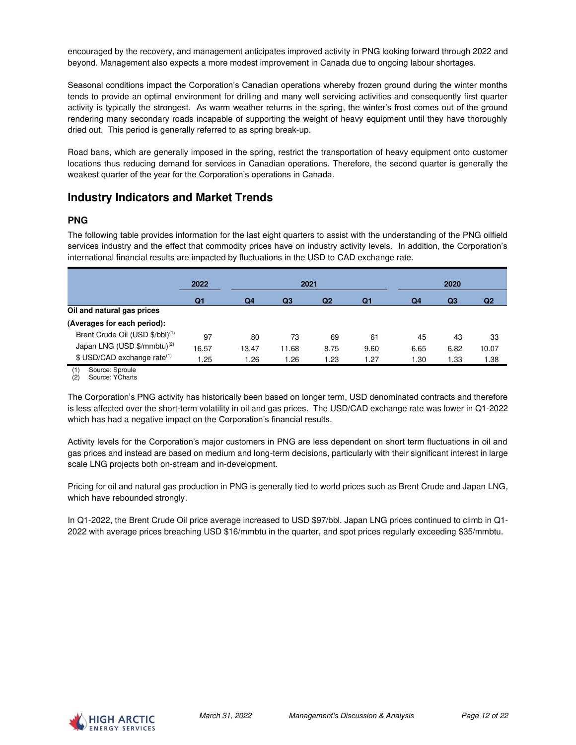encouraged by the recovery, and management anticipates improved activity in PNG looking forward through 2022 and beyond. Management also expects a more modest improvement in Canada due to ongoing labour shortages.

Seasonal conditions impact the Corporation's Canadian operations whereby frozen ground during the winter months tends to provide an optimal environment for drilling and many well servicing activities and consequently first quarter activity is typically the strongest. As warm weather returns in the spring, the winter's frost comes out of the ground rendering many secondary roads incapable of supporting the weight of heavy equipment until they have thoroughly dried out. This period is generally referred to as spring break-up.

Road bans, which are generally imposed in the spring, restrict the transportation of heavy equipment onto customer locations thus reducing demand for services in Canadian operations. Therefore, the second quarter is generally the weakest quarter of the year for the Corporation's operations in Canada.

# **Industry Indicators and Market Trends**

## **PNG**

The following table provides information for the last eight quarters to assist with the understanding of the PNG oilfield services industry and the effect that commodity prices have on industry activity levels. In addition, the Corporation's international financial results are impacted by fluctuations in the USD to CAD exchange rate.

|                                             | 2022  | 2021           |       |                | 2020 |      |      |       |
|---------------------------------------------|-------|----------------|-------|----------------|------|------|------|-------|
|                                             | Q1    | Q <sub>4</sub> | Q3    | Q <sub>2</sub> | Q1   | Q4   | Q3   | Q2    |
| Oil and natural gas prices                  |       |                |       |                |      |      |      |       |
| (Averages for each period):                 |       |                |       |                |      |      |      |       |
| Brent Crude Oil (USD \$/bbl) <sup>(1)</sup> | 97    | 80             | 73    | 69             | 61   | 45   | 43   | 33    |
| Japan LNG (USD \$/mmbtu) <sup>(2)</sup>     | 16.57 | 13.47          | 11.68 | 8.75           | 9.60 | 6.65 | 6.82 | 10.07 |
| \$ USD/CAD exchange rate <sup>(1)</sup>     | .25   | .26            | 1.26  | 1.23           | 1.27 | 1.30 | 1.33 | 1.38  |

(1) Source: Sproule (2) Source: YCharts

The Corporation's PNG activity has historically been based on longer term, USD denominated contracts and therefore is less affected over the short-term volatility in oil and gas prices. The USD/CAD exchange rate was lower in Q1-2022 which has had a negative impact on the Corporation's financial results.

Activity levels for the Corporation's major customers in PNG are less dependent on short term fluctuations in oil and gas prices and instead are based on medium and long-term decisions, particularly with their significant interest in large scale LNG projects both on-stream and in-development.

Pricing for oil and natural gas production in PNG is generally tied to world prices such as Brent Crude and Japan LNG, which have rebounded strongly.

In Q1-2022, the Brent Crude Oil price average increased to USD \$97/bbl. Japan LNG prices continued to climb in Q1- 2022 with average prices breaching USD \$16/mmbtu in the quarter, and spot prices regularly exceeding \$35/mmbtu.

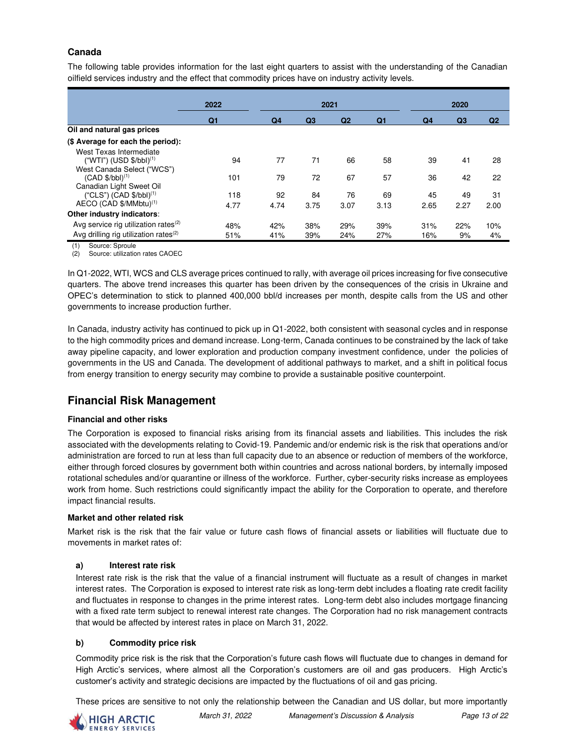## **Canada**

The following table provides information for the last eight quarters to assist with the understanding of the Canadian oilfield services industry and the effect that commodity prices have on industry activity levels.

|                                                   | 2022           | 2021           |                |                | 2020           |      |                |                |
|---------------------------------------------------|----------------|----------------|----------------|----------------|----------------|------|----------------|----------------|
|                                                   | Q <sub>1</sub> | Q <sub>4</sub> | Q <sub>3</sub> | Q <sub>2</sub> | Q <sub>1</sub> | Q4   | Q <sub>3</sub> | Q <sub>2</sub> |
| Oil and natural gas prices                        |                |                |                |                |                |      |                |                |
| (\$ Average for each the period):                 |                |                |                |                |                |      |                |                |
| West Texas Intermediate                           |                |                |                |                |                |      |                |                |
| $("WTI") (USD $/bbI)^{(1)}$                       | 94             | 77             | 71             | 66             | 58             | 39   | 41             | 28             |
| West Canada Select ("WCS")                        |                |                |                |                |                |      |                |                |
| $(CAD $/bb1)$ <sup>(1)</sup>                      | 101            | 79             | 72             | 67             | 57             | 36   | 42             | 22             |
| Canadian Light Sweet Oil                          |                |                |                |                |                |      |                |                |
| ("CLS") (CAD \$/bb1) <sup>(1)</sup>               | 118            | 92             | 84             | 76             | 69             | 45   | 49             | 31             |
| AECO (CAD \$/MMbtu) <sup>(1)</sup>                | 4.77           | 4.74           | 3.75           | 3.07           | 3.13           | 2.65 | 2.27           | 2.00           |
| Other industry indicators:                        |                |                |                |                |                |      |                |                |
| Avg service rig utilization rates $(2)$           | 48%            | 42%            | 38%            | 29%            | 39%            | 31%  | 22%            | 10%            |
| Avg drilling rig utilization rates <sup>(2)</sup> | 51%            | 41%            | 39%            | 24%            | 27%            | 16%  | 9%             | 4%             |

(1) Source: Sproule

(2) Source: utilization rates CAOEC

In Q1-2022, WTI, WCS and CLS average prices continued to rally, with average oil prices increasing for five consecutive quarters. The above trend increases this quarter has been driven by the consequences of the crisis in Ukraine and OPEC's determination to stick to planned 400,000 bbl/d increases per month, despite calls from the US and other governments to increase production further.

In Canada, industry activity has continued to pick up in Q1-2022, both consistent with seasonal cycles and in response to the high commodity prices and demand increase. Long-term, Canada continues to be constrained by the lack of take away pipeline capacity, and lower exploration and production company investment confidence, under the policies of governments in the US and Canada. The development of additional pathways to market, and a shift in political focus from energy transition to energy security may combine to provide a sustainable positive counterpoint.

# **Financial Risk Management**

### **Financial and other risks**

The Corporation is exposed to financial risks arising from its financial assets and liabilities. This includes the risk associated with the developments relating to Covid-19. Pandemic and/or endemic risk is the risk that operations and/or administration are forced to run at less than full capacity due to an absence or reduction of members of the workforce, either through forced closures by government both within countries and across national borders, by internally imposed rotational schedules and/or quarantine or illness of the workforce. Further, cyber-security risks increase as employees work from home. Such restrictions could significantly impact the ability for the Corporation to operate, and therefore impact financial results.

### **Market and other related risk**

Market risk is the risk that the fair value or future cash flows of financial assets or liabilities will fluctuate due to movements in market rates of:

### **a) Interest rate risk**

Interest rate risk is the risk that the value of a financial instrument will fluctuate as a result of changes in market interest rates. The Corporation is exposed to interest rate risk as long-term debt includes a floating rate credit facility and fluctuates in response to changes in the prime interest rates. Long-term debt also includes mortgage financing with a fixed rate term subject to renewal interest rate changes. The Corporation had no risk management contracts that would be affected by interest rates in place on March 31, 2022.

### **b) Commodity price risk**

Commodity price risk is the risk that the Corporation's future cash flows will fluctuate due to changes in demand for High Arctic's services, where almost all the Corporation's customers are oil and gas producers. High Arctic's customer's activity and strategic decisions are impacted by the fluctuations of oil and gas pricing.

These prices are sensitive to not only the relationship between the Canadian and US dollar, but more importantly

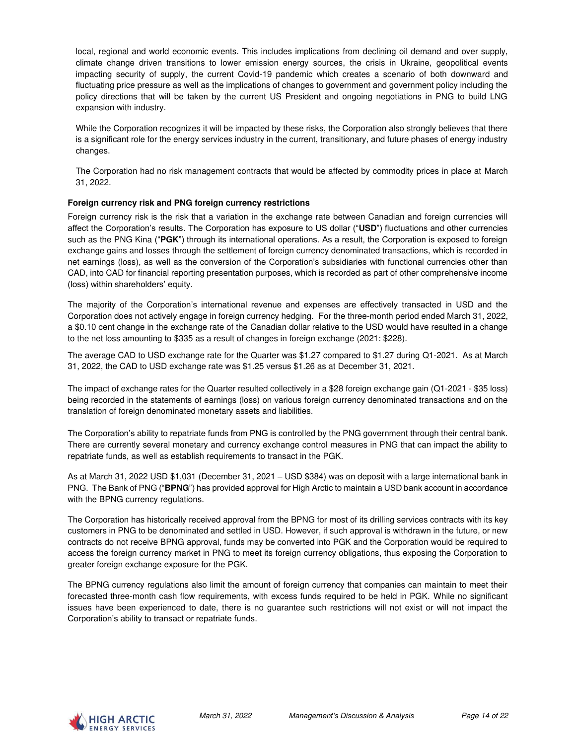local, regional and world economic events. This includes implications from declining oil demand and over supply, climate change driven transitions to lower emission energy sources, the crisis in Ukraine, geopolitical events impacting security of supply, the current Covid-19 pandemic which creates a scenario of both downward and fluctuating price pressure as well as the implications of changes to government and government policy including the policy directions that will be taken by the current US President and ongoing negotiations in PNG to build LNG expansion with industry.

While the Corporation recognizes it will be impacted by these risks, the Corporation also strongly believes that there is a significant role for the energy services industry in the current, transitionary, and future phases of energy industry changes.

The Corporation had no risk management contracts that would be affected by commodity prices in place at March 31, 2022.

### **Foreign currency risk and PNG foreign currency restrictions**

Foreign currency risk is the risk that a variation in the exchange rate between Canadian and foreign currencies will affect the Corporation's results. The Corporation has exposure to US dollar ("**USD**") fluctuations and other currencies such as the PNG Kina ("**PGK**") through its international operations. As a result, the Corporation is exposed to foreign exchange gains and losses through the settlement of foreign currency denominated transactions, which is recorded in net earnings (loss), as well as the conversion of the Corporation's subsidiaries with functional currencies other than CAD, into CAD for financial reporting presentation purposes, which is recorded as part of other comprehensive income (loss) within shareholders' equity.

The majority of the Corporation's international revenue and expenses are effectively transacted in USD and the Corporation does not actively engage in foreign currency hedging. For the three-month period ended March 31, 2022, a \$0.10 cent change in the exchange rate of the Canadian dollar relative to the USD would have resulted in a change to the net loss amounting to \$335 as a result of changes in foreign exchange (2021: \$228).

The average CAD to USD exchange rate for the Quarter was \$1.27 compared to \$1.27 during Q1-2021. As at March 31, 2022, the CAD to USD exchange rate was \$1.25 versus \$1.26 as at December 31, 2021.

The impact of exchange rates for the Quarter resulted collectively in a \$28 foreign exchange gain (Q1-2021 - \$35 loss) being recorded in the statements of earnings (loss) on various foreign currency denominated transactions and on the translation of foreign denominated monetary assets and liabilities.

The Corporation's ability to repatriate funds from PNG is controlled by the PNG government through their central bank. There are currently several monetary and currency exchange control measures in PNG that can impact the ability to repatriate funds, as well as establish requirements to transact in the PGK.

As at March 31, 2022 USD \$1,031 (December 31, 2021 – USD \$384) was on deposit with a large international bank in PNG. The Bank of PNG ("**BPNG**") has provided approval for High Arctic to maintain a USD bank account in accordance with the BPNG currency regulations.

The Corporation has historically received approval from the BPNG for most of its drilling services contracts with its key customers in PNG to be denominated and settled in USD. However, if such approval is withdrawn in the future, or new contracts do not receive BPNG approval, funds may be converted into PGK and the Corporation would be required to access the foreign currency market in PNG to meet its foreign currency obligations, thus exposing the Corporation to greater foreign exchange exposure for the PGK.

The BPNG currency regulations also limit the amount of foreign currency that companies can maintain to meet their forecasted three-month cash flow requirements, with excess funds required to be held in PGK. While no significant issues have been experienced to date, there is no guarantee such restrictions will not exist or will not impact the Corporation's ability to transact or repatriate funds.

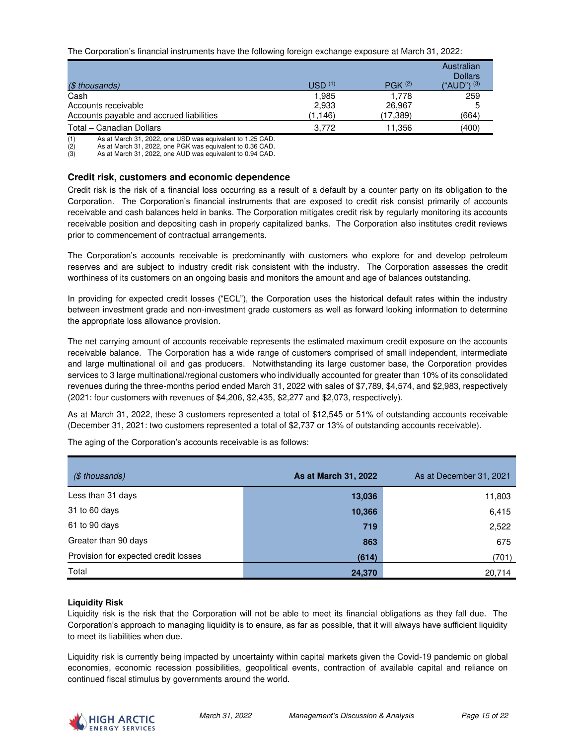The Corporation's financial instruments have the following foreign exchange exposure at March 31, 2022:

| (\$ thousands)                           | USD <sup>(1)</sup> | $P G K$ <sup>(2)</sup> | Australian<br><b>Dollars</b><br>("AUD") $(3)$ |
|------------------------------------------|--------------------|------------------------|-----------------------------------------------|
| Cash                                     | 1,985              | 1.778                  | 259                                           |
| Accounts receivable                      | 2,933              | 26.967                 | 5                                             |
| Accounts payable and accrued liabilities | (1, 146)           | (17.389)               | (664)                                         |
| Total – Canadian Dollars                 | 3.772              | 11.356                 | (400)                                         |

(1) As at March 31, 2022, one USD was equivalent to 1.25 CAD.<br>
(2) As at March 31, 2022, one PGK was equivalent to 0.36 CAD.<br>
(3) As at March 31, 2022, one AUD was equivalent to 0.94 CAD.

As at March 31, 2022, one PGK was equivalent to 0.36 CAD.

As at March 31, 2022, one AUD was equivalent to 0.94 CAD.

#### **Credit risk, customers and economic dependence**

Credit risk is the risk of a financial loss occurring as a result of a default by a counter party on its obligation to the Corporation. The Corporation's financial instruments that are exposed to credit risk consist primarily of accounts receivable and cash balances held in banks. The Corporation mitigates credit risk by regularly monitoring its accounts receivable position and depositing cash in properly capitalized banks. The Corporation also institutes credit reviews prior to commencement of contractual arrangements.

The Corporation's accounts receivable is predominantly with customers who explore for and develop petroleum reserves and are subject to industry credit risk consistent with the industry. The Corporation assesses the credit worthiness of its customers on an ongoing basis and monitors the amount and age of balances outstanding.

In providing for expected credit losses ("ECL"), the Corporation uses the historical default rates within the industry between investment grade and non-investment grade customers as well as forward looking information to determine the appropriate loss allowance provision.

The net carrying amount of accounts receivable represents the estimated maximum credit exposure on the accounts receivable balance. The Corporation has a wide range of customers comprised of small independent, intermediate and large multinational oil and gas producers. Notwithstanding its large customer base, the Corporation provides services to 3 large multinational/regional customers who individually accounted for greater than 10% of its consolidated revenues during the three-months period ended March 31, 2022 with sales of \$7,789, \$4,574, and \$2,983, respectively (2021: four customers with revenues of \$4,206, \$2,435, \$2,277 and \$2,073, respectively).

As at March 31, 2022, these 3 customers represented a total of \$12,545 or 51% of outstanding accounts receivable (December 31, 2021: two customers represented a total of \$2,737 or 13% of outstanding accounts receivable).

| $($$ thousands)                      | As at March 31, 2022 | As at December 31, 2021 |
|--------------------------------------|----------------------|-------------------------|
| Less than 31 days                    | 13,036               | 11,803                  |
| 31 to 60 days                        | 10,366               | 6,415                   |
| 61 to 90 days                        | 719                  | 2,522                   |
| Greater than 90 days                 | 863                  | 675                     |
| Provision for expected credit losses | (614)                | (701)                   |
| Total                                | 24,370               | 20,714                  |

The aging of the Corporation's accounts receivable is as follows:

#### **Liquidity Risk**

Liquidity risk is the risk that the Corporation will not be able to meet its financial obligations as they fall due. The Corporation's approach to managing liquidity is to ensure, as far as possible, that it will always have sufficient liquidity to meet its liabilities when due.

Liquidity risk is currently being impacted by uncertainty within capital markets given the Covid-19 pandemic on global economies, economic recession possibilities, geopolitical events, contraction of available capital and reliance on continued fiscal stimulus by governments around the world.

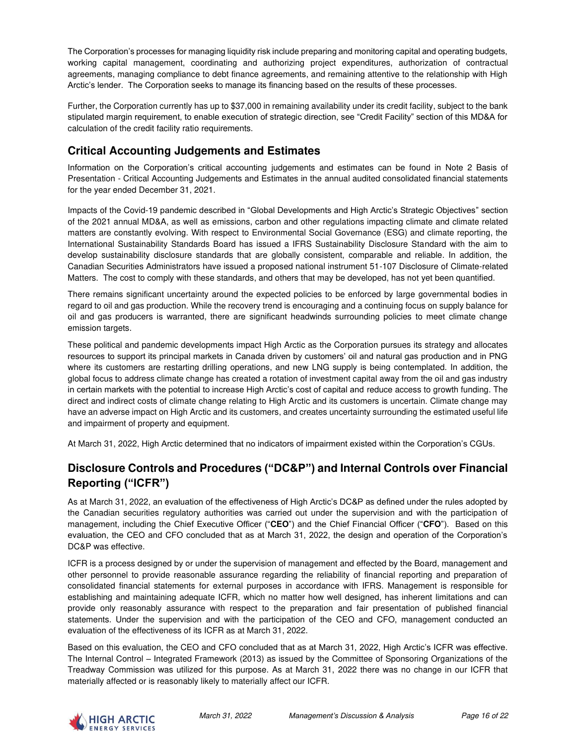The Corporation's processes for managing liquidity risk include preparing and monitoring capital and operating budgets, working capital management, coordinating and authorizing project expenditures, authorization of contractual agreements, managing compliance to debt finance agreements, and remaining attentive to the relationship with High Arctic's lender. The Corporation seeks to manage its financing based on the results of these processes.

Further, the Corporation currently has up to \$37,000 in remaining availability under its credit facility, subject to the bank stipulated margin requirement, to enable execution of strategic direction, see "Credit Facility" section of this MD&A for calculation of the credit facility ratio requirements.

# **Critical Accounting Judgements and Estimates**

Information on the Corporation's critical accounting judgements and estimates can be found in Note 2 Basis of Presentation - Critical Accounting Judgements and Estimates in the annual audited consolidated financial statements for the year ended December 31, 2021.

Impacts of the Covid-19 pandemic described in "Global Developments and High Arctic's Strategic Objectives" section of the 2021 annual MD&A, as well as emissions, carbon and other regulations impacting climate and climate related matters are constantly evolving. With respect to Environmental Social Governance (ESG) and climate reporting, the International Sustainability Standards Board has issued a IFRS Sustainability Disclosure Standard with the aim to develop sustainability disclosure standards that are globally consistent, comparable and reliable. In addition, the Canadian Securities Administrators have issued a proposed national instrument 51-107 Disclosure of Climate-related Matters. The cost to comply with these standards, and others that may be developed, has not yet been quantified.

There remains significant uncertainty around the expected policies to be enforced by large governmental bodies in regard to oil and gas production. While the recovery trend is encouraging and a continuing focus on supply balance for oil and gas producers is warranted, there are significant headwinds surrounding policies to meet climate change emission targets.

These political and pandemic developments impact High Arctic as the Corporation pursues its strategy and allocates resources to support its principal markets in Canada driven by customers' oil and natural gas production and in PNG where its customers are restarting drilling operations, and new LNG supply is being contemplated. In addition, the global focus to address climate change has created a rotation of investment capital away from the oil and gas industry in certain markets with the potential to increase High Arctic's cost of capital and reduce access to growth funding. The direct and indirect costs of climate change relating to High Arctic and its customers is uncertain. Climate change may have an adverse impact on High Arctic and its customers, and creates uncertainty surrounding the estimated useful life and impairment of property and equipment.

At March 31, 2022, High Arctic determined that no indicators of impairment existed within the Corporation's CGUs.

# **Disclosure Controls and Procedures ("DC&P") and Internal Controls over Financial Reporting ("ICFR")**

As at March 31, 2022, an evaluation of the effectiveness of High Arctic's DC&P as defined under the rules adopted by the Canadian securities regulatory authorities was carried out under the supervision and with the participation of management, including the Chief Executive Officer ("**CEO**") and the Chief Financial Officer ("**CFO**"). Based on this evaluation, the CEO and CFO concluded that as at March 31, 2022, the design and operation of the Corporation's DC&P was effective.

ICFR is a process designed by or under the supervision of management and effected by the Board, management and other personnel to provide reasonable assurance regarding the reliability of financial reporting and preparation of consolidated financial statements for external purposes in accordance with IFRS. Management is responsible for establishing and maintaining adequate ICFR, which no matter how well designed, has inherent limitations and can provide only reasonably assurance with respect to the preparation and fair presentation of published financial statements. Under the supervision and with the participation of the CEO and CFO, management conducted an evaluation of the effectiveness of its ICFR as at March 31, 2022.

Based on this evaluation, the CEO and CFO concluded that as at March 31, 2022, High Arctic's ICFR was effective. The Internal Control – Integrated Framework (2013) as issued by the Committee of Sponsoring Organizations of the Treadway Commission was utilized for this purpose. As at March 31, 2022 there was no change in our ICFR that materially affected or is reasonably likely to materially affect our ICFR.

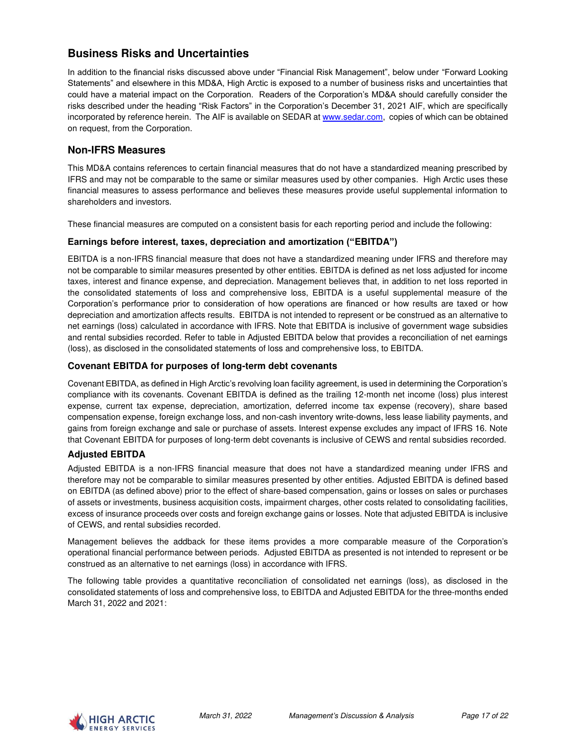# **Business Risks and Uncertainties**

In addition to the financial risks discussed above under "Financial Risk Management", below under "Forward Looking Statements" and elsewhere in this MD&A, High Arctic is exposed to a number of business risks and uncertainties that could have a material impact on the Corporation. Readers of the Corporation's MD&A should carefully consider the risks described under the heading "Risk Factors" in the Corporation's December 31, 2021 AIF, which are specifically incorporated by reference herein. The AIF is available on SEDAR at [www.sedar.com,](http://www.sedar.com/) copies of which can be obtained on request, from the Corporation.

## **Non-IFRS Measures**

This MD&A contains references to certain financial measures that do not have a standardized meaning prescribed by IFRS and may not be comparable to the same or similar measures used by other companies. High Arctic uses these financial measures to assess performance and believes these measures provide useful supplemental information to shareholders and investors.

These financial measures are computed on a consistent basis for each reporting period and include the following:

### **Earnings before interest, taxes, depreciation and amortization ("EBITDA")**

EBITDA is a non-IFRS financial measure that does not have a standardized meaning under IFRS and therefore may not be comparable to similar measures presented by other entities. EBITDA is defined as net loss adjusted for income taxes, interest and finance expense, and depreciation. Management believes that, in addition to net loss reported in the consolidated statements of loss and comprehensive loss, EBITDA is a useful supplemental measure of the Corporation's performance prior to consideration of how operations are financed or how results are taxed or how depreciation and amortization affects results. EBITDA is not intended to represent or be construed as an alternative to net earnings (loss) calculated in accordance with IFRS. Note that EBITDA is inclusive of government wage subsidies and rental subsidies recorded. Refer to table in Adjusted EBITDA below that provides a reconciliation of net earnings (loss), as disclosed in the consolidated statements of loss and comprehensive loss, to EBITDA.

### **Covenant EBITDA for purposes of long-term debt covenants**

Covenant EBITDA, as defined in High Arctic's revolving loan facility agreement, is used in determining the Corporation's compliance with its covenants. Covenant EBITDA is defined as the trailing 12-month net income (loss) plus interest expense, current tax expense, depreciation, amortization, deferred income tax expense (recovery), share based compensation expense, foreign exchange loss, and non-cash inventory write-downs, less lease liability payments, and gains from foreign exchange and sale or purchase of assets. Interest expense excludes any impact of IFRS 16. Note that Covenant EBITDA for purposes of long-term debt covenants is inclusive of CEWS and rental subsidies recorded.

### **Adjusted EBITDA**

Adjusted EBITDA is a non-IFRS financial measure that does not have a standardized meaning under IFRS and therefore may not be comparable to similar measures presented by other entities. Adjusted EBITDA is defined based on EBITDA (as defined above) prior to the effect of share-based compensation, gains or losses on sales or purchases of assets or investments, business acquisition costs, impairment charges, other costs related to consolidating facilities, excess of insurance proceeds over costs and foreign exchange gains or losses. Note that adjusted EBITDA is inclusive of CEWS, and rental subsidies recorded.

Management believes the addback for these items provides a more comparable measure of the Corporation's operational financial performance between periods. Adjusted EBITDA as presented is not intended to represent or be construed as an alternative to net earnings (loss) in accordance with IFRS.

The following table provides a quantitative reconciliation of consolidated net earnings (loss), as disclosed in the consolidated statements of loss and comprehensive loss, to EBITDA and Adjusted EBITDA for the three-months ended March 31, 2022 and 2021:

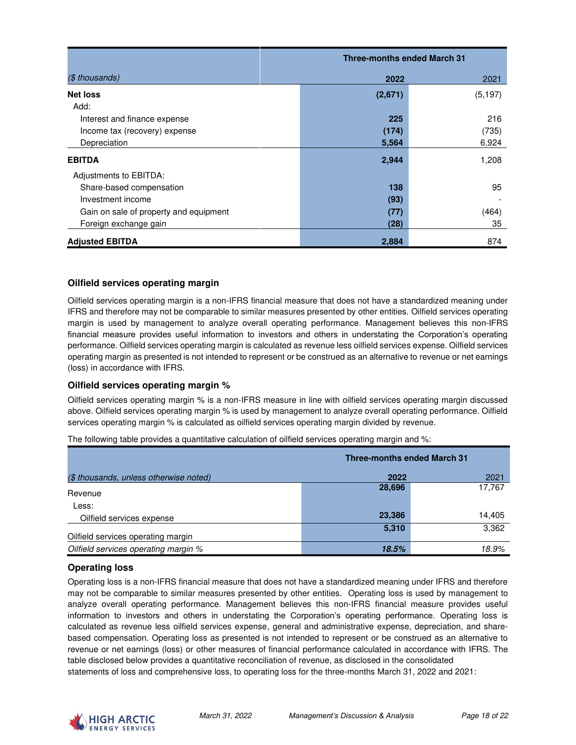|                                        | <b>Three-months ended March 31</b> |          |  |
|----------------------------------------|------------------------------------|----------|--|
| $($$ thousands)                        | 2022                               | 2021     |  |
| <b>Net loss</b>                        | (2,671)                            | (5, 197) |  |
| Add:                                   |                                    |          |  |
| Interest and finance expense           | 225                                | 216      |  |
| Income tax (recovery) expense          | (174)                              | (735)    |  |
| Depreciation                           | 5,564                              | 6,924    |  |
| <b>EBITDA</b>                          | 2,944                              | 1,208    |  |
| Adjustments to EBITDA:                 |                                    |          |  |
| Share-based compensation               | 138                                | 95       |  |
| Investment income                      | (93)                               |          |  |
| Gain on sale of property and equipment | (77)                               | (464)    |  |
| Foreign exchange gain                  | (28)                               | 35       |  |
| <b>Adjusted EBITDA</b>                 | 2,884                              | 874      |  |

### **Oilfield services operating margin**

Oilfield services operating margin is a non-IFRS financial measure that does not have a standardized meaning under IFRS and therefore may not be comparable to similar measures presented by other entities. Oilfield services operating margin is used by management to analyze overall operating performance. Management believes this non-IFRS financial measure provides useful information to investors and others in understating the Corporation's operating performance. Oilfield services operating margin is calculated as revenue less oilfield services expense. Oilfield services operating margin as presented is not intended to represent or be construed as an alternative to revenue or net earnings (loss) in accordance with IFRS.

### **Oilfield services operating margin %**

Oilfield services operating margin % is a non-IFRS measure in line with oilfield services operating margin discussed above. Oilfield services operating margin % is used by management to analyze overall operating performance. Oilfield services operating margin % is calculated as oilfield services operating margin divided by revenue.

|                                        | <b>Three-months ended March 31</b> |        |
|----------------------------------------|------------------------------------|--------|
| (\$ thousands, unless otherwise noted) | 2022                               | 2021   |
| Revenue                                | 28,696                             | 17,767 |
| Less:                                  |                                    |        |
| Oilfield services expense              | 23,386                             | 14,405 |
| Oilfield services operating margin     | 5,310                              | 3,362  |
| Oilfield services operating margin %   | 18.5%                              | 18.9%  |

The following table provides a quantitative calculation of oilfield services operating margin and %:

### **Operating loss**

Operating loss is a non-IFRS financial measure that does not have a standardized meaning under IFRS and therefore may not be comparable to similar measures presented by other entities. Operating loss is used by management to analyze overall operating performance. Management believes this non-IFRS financial measure provides useful information to investors and others in understating the Corporation's operating performance. Operating loss is calculated as revenue less oilfield services expense, general and administrative expense, depreciation, and sharebased compensation. Operating loss as presented is not intended to represent or be construed as an alternative to revenue or net earnings (loss) or other measures of financial performance calculated in accordance with IFRS. The table disclosed below provides a quantitative reconciliation of revenue, as disclosed in the consolidated statements of loss and comprehensive loss, to operating loss for the three-months March 31, 2022 and 2021:

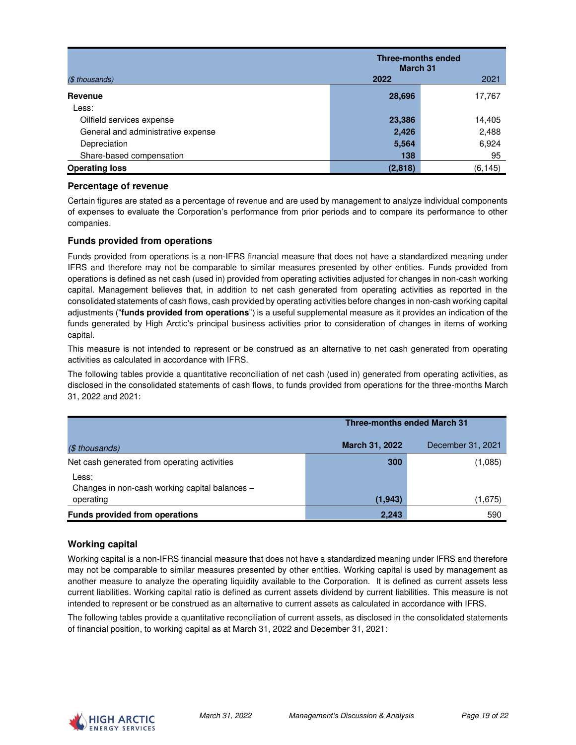|                                    | <b>Three-months ended</b><br><b>March 31</b> |          |  |
|------------------------------------|----------------------------------------------|----------|--|
| (\$ thousands)                     | 2022                                         | 2021     |  |
| Revenue                            | 28,696                                       | 17,767   |  |
| Less:                              |                                              |          |  |
| Oilfield services expense          | 23,386                                       | 14,405   |  |
| General and administrative expense | 2,426                                        | 2,488    |  |
| Depreciation                       | 5,564                                        | 6,924    |  |
| Share-based compensation           | 138                                          | 95       |  |
| <b>Operating loss</b>              | (2, 818)                                     | (6, 145) |  |

### **Percentage of revenue**

Certain figures are stated as a percentage of revenue and are used by management to analyze individual components of expenses to evaluate the Corporation's performance from prior periods and to compare its performance to other companies.

### **Funds provided from operations**

Funds provided from operations is a non-IFRS financial measure that does not have a standardized meaning under IFRS and therefore may not be comparable to similar measures presented by other entities. Funds provided from operations is defined as net cash (used in) provided from operating activities adjusted for changes in non-cash working capital. Management believes that, in addition to net cash generated from operating activities as reported in the consolidated statements of cash flows, cash provided by operating activities before changes in non-cash working capital adjustments ("**funds provided from operations**") is a useful supplemental measure as it provides an indication of the funds generated by High Arctic's principal business activities prior to consideration of changes in items of working capital.

This measure is not intended to represent or be construed as an alternative to net cash generated from operating activities as calculated in accordance with IFRS.

The following tables provide a quantitative reconciliation of net cash (used in) generated from operating activities, as disclosed in the consolidated statements of cash flows, to funds provided from operations for the three-months March 31, 2022 and 2021:

|                                                         | <b>Three-months ended March 31</b> |                   |  |
|---------------------------------------------------------|------------------------------------|-------------------|--|
| $($$ thousands)                                         | March 31, 2022                     | December 31, 2021 |  |
| Net cash generated from operating activities            | 300                                | (1,085)           |  |
| Less:<br>Changes in non-cash working capital balances - |                                    |                   |  |
| operating                                               | (1, 943)                           | (1,675)           |  |
| <b>Funds provided from operations</b>                   | 2,243                              | 590               |  |

### **Working capital**

Working capital is a non-IFRS financial measure that does not have a standardized meaning under IFRS and therefore may not be comparable to similar measures presented by other entities. Working capital is used by management as another measure to analyze the operating liquidity available to the Corporation. It is defined as current assets less current liabilities. Working capital ratio is defined as current assets dividend by current liabilities. This measure is not intended to represent or be construed as an alternative to current assets as calculated in accordance with IFRS.

The following tables provide a quantitative reconciliation of current assets, as disclosed in the consolidated statements of financial position, to working capital as at March 31, 2022 and December 31, 2021:

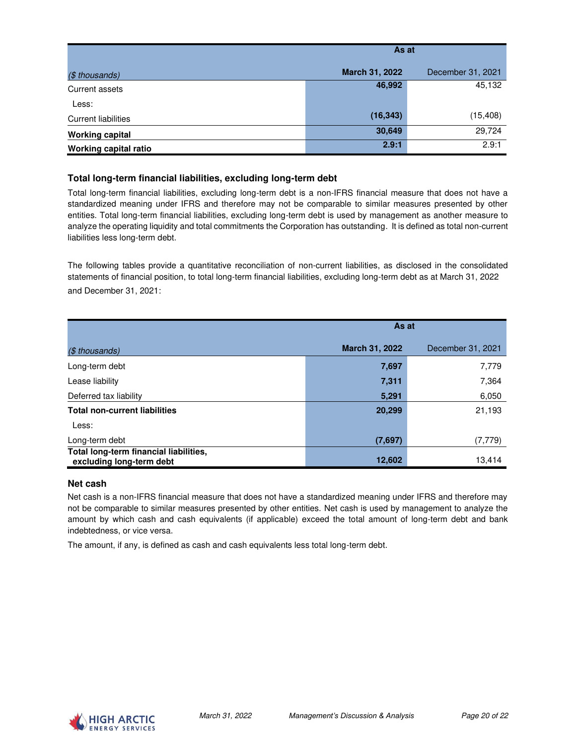|                            | As at          |                   |  |
|----------------------------|----------------|-------------------|--|
| $($$ thousands)            | March 31, 2022 | December 31, 2021 |  |
| Current assets             | 46,992         | 45,132            |  |
| Less:                      |                |                   |  |
| <b>Current liabilities</b> | (16, 343)      | (15, 408)         |  |
| <b>Working capital</b>     | 30,649         | 29,724            |  |
| Working capital ratio      | 2.9:1          | 2.9:1             |  |

## **Total long-term financial liabilities, excluding long-term debt**

Total long-term financial liabilities, excluding long-term debt is a non-IFRS financial measure that does not have a standardized meaning under IFRS and therefore may not be comparable to similar measures presented by other entities. Total long-term financial liabilities, excluding long-term debt is used by management as another measure to analyze the operating liquidity and total commitments the Corporation has outstanding. It is defined as total non-current liabilities less long-term debt.

The following tables provide a quantitative reconciliation of non-current liabilities, as disclosed in the consolidated statements of financial position, to total long-term financial liabilities, excluding long-term debt as at March 31, 2022 and December 31, 2021:

|                                                                    | As at          |                   |  |
|--------------------------------------------------------------------|----------------|-------------------|--|
| (\$ thousands)                                                     | March 31, 2022 | December 31, 2021 |  |
| Long-term debt                                                     | 7,697          | 7,779             |  |
| Lease liability                                                    | 7,311          | 7,364             |  |
| Deferred tax liability                                             | 5,291          | 6,050             |  |
| <b>Total non-current liabilities</b>                               | 20,299         | 21,193            |  |
| Less:                                                              |                |                   |  |
| Long-term debt                                                     | (7,697)        | (7,779)           |  |
| Total long-term financial liabilities,<br>excluding long-term debt | 12,602         | 13,414            |  |

### **Net cash**

Net cash is a non-IFRS financial measure that does not have a standardized meaning under IFRS and therefore may not be comparable to similar measures presented by other entities. Net cash is used by management to analyze the amount by which cash and cash equivalents (if applicable) exceed the total amount of long-term debt and bank indebtedness, or vice versa.

The amount, if any, is defined as cash and cash equivalents less total long-term debt.

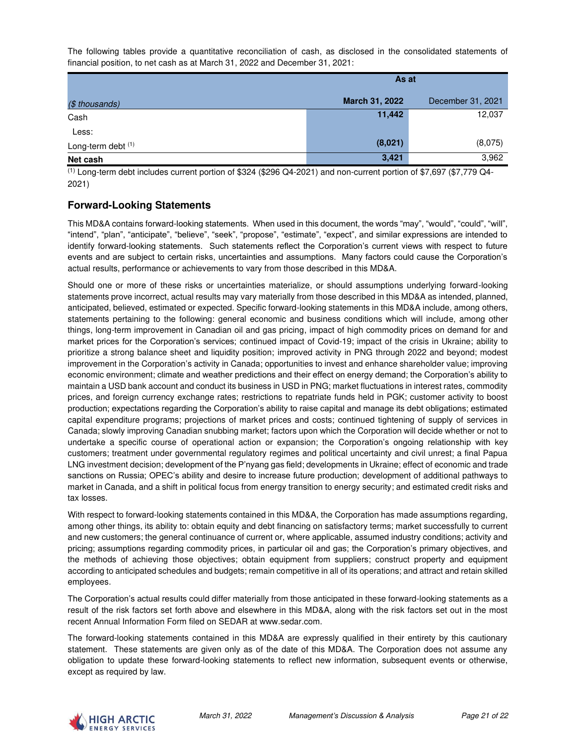The following tables provide a quantitative reconciliation of cash, as disclosed in the consolidated statements of financial position, to net cash as at March 31, 2022 and December 31, 2021:

|                    | As at          |                   |
|--------------------|----------------|-------------------|
| (\$ thousands)     | March 31, 2022 | December 31, 2021 |
| Cash               | 11,442         | 12,037            |
| Less:              |                |                   |
| Long-term debt (1) | (8,021)        | (8,075)           |
| Net cash           | 3,421          | 3,962             |

 $<sup>(1)</sup>$  Long-term debt includes current portion of \$324 (\$296 Q4-2021) and non-current portion of \$7,697 (\$7,779 Q4-</sup> 2021)

# **Forward-Looking Statements**

This MD&A contains forward-looking statements. When used in this document, the words "may", "would", "could", "will", "intend", "plan", "anticipate", "believe", "seek", "propose", "estimate", "expect", and similar expressions are intended to identify forward-looking statements. Such statements reflect the Corporation's current views with respect to future events and are subject to certain risks, uncertainties and assumptions. Many factors could cause the Corporation's actual results, performance or achievements to vary from those described in this MD&A.

Should one or more of these risks or uncertainties materialize, or should assumptions underlying forward-looking statements prove incorrect, actual results may vary materially from those described in this MD&A as intended, planned, anticipated, believed, estimated or expected. Specific forward-looking statements in this MD&A include, among others, statements pertaining to the following: general economic and business conditions which will include, among other things, long-term improvement in Canadian oil and gas pricing, impact of high commodity prices on demand for and market prices for the Corporation's services; continued impact of Covid-19; impact of the crisis in Ukraine; ability to prioritize a strong balance sheet and liquidity position; improved activity in PNG through 2022 and beyond; modest improvement in the Corporation's activity in Canada; opportunities to invest and enhance shareholder value; improving economic environment; climate and weather predictions and their effect on energy demand; the Corporation's ability to maintain a USD bank account and conduct its business in USD in PNG; market fluctuations in interest rates, commodity prices, and foreign currency exchange rates; restrictions to repatriate funds held in PGK; customer activity to boost production; expectations regarding the Corporation's ability to raise capital and manage its debt obligations; estimated capital expenditure programs; projections of market prices and costs; continued tightening of supply of services in Canada; slowly improving Canadian snubbing market; factors upon which the Corporation will decide whether or not to undertake a specific course of operational action or expansion; the Corporation's ongoing relationship with key customers; treatment under governmental regulatory regimes and political uncertainty and civil unrest; a final Papua LNG investment decision; development of the P'nyang gas field; developments in Ukraine; effect of economic and trade sanctions on Russia; OPEC's ability and desire to increase future production; development of additional pathways to market in Canada, and a shift in political focus from energy transition to energy security; and estimated credit risks and tax losses.

With respect to forward-looking statements contained in this MD&A, the Corporation has made assumptions regarding, among other things, its ability to: obtain equity and debt financing on satisfactory terms; market successfully to current and new customers; the general continuance of current or, where applicable, assumed industry conditions; activity and pricing; assumptions regarding commodity prices, in particular oil and gas; the Corporation's primary objectives, and the methods of achieving those objectives; obtain equipment from suppliers; construct property and equipment according to anticipated schedules and budgets; remain competitive in all of its operations; and attract and retain skilled employees.

The Corporation's actual results could differ materially from those anticipated in these forward-looking statements as a result of the risk factors set forth above and elsewhere in this MD&A, along with the risk factors set out in the most recent Annual Information Form filed on SEDAR at www.sedar.com.

The forward-looking statements contained in this MD&A are expressly qualified in their entirety by this cautionary statement. These statements are given only as of the date of this MD&A. The Corporation does not assume any obligation to update these forward-looking statements to reflect new information, subsequent events or otherwise, except as required by law.